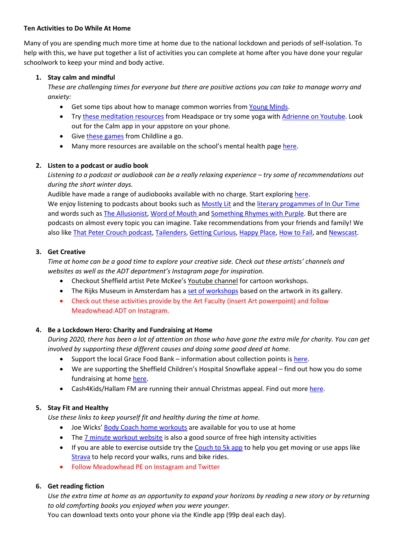#### **Ten Activities to Do While At Home**

Many of you are spending much more time at home due to the national lockdown and periods of self-isolation. To help with this, we have put together a list of activities you can complete at home after you have done your regular schoolwork to keep your mind and body active.

## **1. Stay calm and mindful**

*These are challenging times for everyone but there are positive actions you can take to manage worry and anxiety:* 

- Get some tips about how to manage common worries fro[m Young Minds.](https://youngminds.org.uk/find-help/looking-after-yourself/coronavirus-and-mental-health/)
- Tr[y these meditation resources](https://www.headspace.com/meditation/kids) from Headspace or try some yoga with [Adrienne on Youtube.](https://www.youtube.com/user/yogawithadriene) Look out for the Calm app in your appstore on your phone.
- Giv[e these games](https://www.childline.org.uk/toolbox/) from Childline a go.
- Many more resources are available on the school's mental health pag[e here.](https://www.meadowhead.sheffield.sch.uk/page/?title=Top+tips+for+a+healthy+mind&pid=755)

#### **2. Listen to a podcast or audio book**

*Listening to a podcast or audiobook can be a really relaxing experience – try some of recommendations out during the short winter days.* 

Audible have made a range of audiobooks available with no charge. Start exploring [here.](https://stories.audible.com/start-listen.) We enjoy listening to podcasts about books such as [Mostly Lit](https://podcasts.apple.com/gb/podcast/mostly-lit/id1281765830?mt=2) and th[e literary progammes of In Our Time](https://www.bbc.co.uk/programmes/b006qykl/topics/Literature) and words such a[s The Allusionist,](https://www.theallusionist.org/) [Word of Mouth](https://www.bbc.co.uk/programmes/b006qtnz) and [Something Rhymes with Purple.](https://play.acast.com/s/somethingrhymeswithpurple) But there are podcasts on almost every topic you can imagine. Take recommendations from your friends and family! We also like [That Peter Crouch podcast,](https://www.bbc.co.uk/programmes/p06kyljg/episodes/downloads) [Tailenders,](https://www.bbc.co.uk/programmes/p02pcb4w) [Getting Curious,](https://podcasts.apple.com/gb/podcast/getting-curious-with-jonathan-van-ness/id1068563276) [Happy Place,](https://www.officialfearnecotton.com/news/2018/2/26/happy-place-podcast) [How to Fail,](https://howtofail.podbean.com/) an[d Newscast.](https://www.bbc.co.uk/programmes/p05299nl)

#### **3. Get Creative**

*Time at home can be a good time to explore your creative side. Check out these artists' channels and websites as well as the ADT department's Instagram page for inspiration.* 

- Checkout Sheffield artist Pete McKee's [Youtube channel](https://www.youtube.com/channel/UCjpNMIjkGJ-vxuOhsN2xxTA) for cartoon workshops.
- The Rijks Museum in Amsterdam has a [set of workshops](https://www.rijksmuseum.nl/en/stories/rijkscreative) based on the artwork in its gallery.
- Check out these activities provide by the Art Faculty (insert Art powerpoint) and follow Meadowhead ADT on Instagram.

## **4. Be a Lockdown Hero: Charity and Fundraising at Home**

*During 2020, there has been a lot of attention on those who have gone the extra mile for charity. You can get involved by supporting these different causes and doing some good deed at home.* 

- Support the local Grace Food Bank information about collection points is [here.](https://gracefoodbanksheffield.org.uk/donations/)
- We are supporting the Sheffield Children's Hospital Snowflake appeal find out how you do some fundraising at home [here.](https://www.tchc.org.uk/how-you-can-help/virtual-fundraising.html)
- Cash4Kids/Hallam FM are running their annual Christmas appeal. Find out more [here.](https://planetradio.co.uk/hallam/charity/events/mission-christmas-south-yorks/)

## **5. Stay Fit and Healthy**

*Use these links to keep yourself fit and healthy during the time at home.* 

- Joe Wicks' [Body Coach home workouts](https://www.youtube.com/channel/UCAxW1XT0iEJo0TYlRfn6rYQ) are available for you to use at home
- The [7 minute workout website](https://7minuteworkout.jnj.com/) is also a good source of free high intensity activities
- If you are able to exercise outside try th[e Couch to 5k](https://www.nhs.uk/live-well/exercise/get-running-with-couch-to-5k/) app to help you get moving or use apps like [Strava](https://www.strava.com/) to help record your walks, runs and bike rides.
- Follow Meadowhead PE on Instagram and Twitter

## **6. Get reading fiction**

*Use the extra time at home as an opportunity to expand your horizons by reading a new story or by returning to old comforting books you enjoyed when you were younger.* 

You can download texts onto your phone via the Kindle app (99p deal each day).